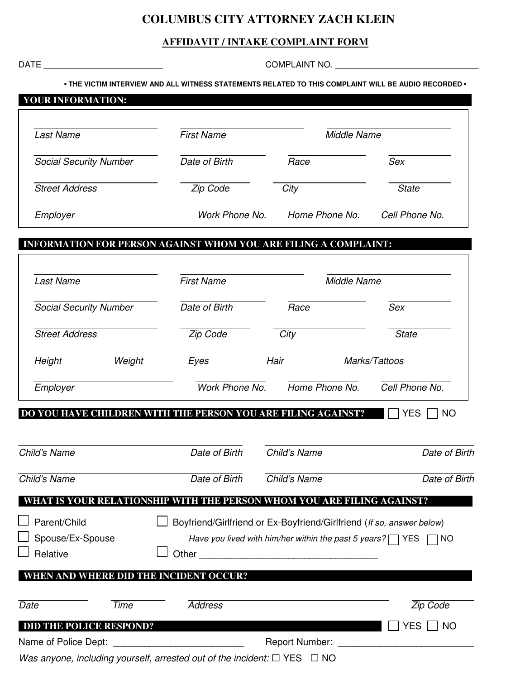## **COLUMBUS CITY ATTORNEY ZACH KLEIN**

## **AFFIDAVIT / INTAKE COMPLAINT FORM**

DATE \_\_\_\_\_\_\_\_\_\_\_\_\_\_\_\_\_\_\_\_\_\_\_\_\_ COMPLAINT NO. \_\_\_\_\_\_\_\_\_\_\_\_\_\_\_\_\_\_\_\_\_\_\_\_\_\_\_\_\_\_

٦

**• THE VICTIM INTERVIEW AND ALL WITNESS STATEMENTS RELATED TO THIS COMPLAINT WILL BE AUDIO RECORDED •** 

| <b>YOUR INFORMATION:</b>      |                   |                |                |
|-------------------------------|-------------------|----------------|----------------|
| Last Name                     | <b>First Name</b> | Middle Name    |                |
| <b>Social Security Number</b> | Date of Birth     | Race           | Sex            |
| <b>Street Address</b>         | Zip Code          | City           | <b>State</b>   |
| Employer                      | Work Phone No.    | Home Phone No. | Cell Phone No. |

## INFORMATION FOR PERSON AGAINST WHOM YOU ARE FILING A COMPLAINT**:**

| <b>Last Name</b>              |        | <b>First Name</b>                                                                                                                                                                                                             |                | <b>Middle Name</b>                                                                                                                              |  |  |
|-------------------------------|--------|-------------------------------------------------------------------------------------------------------------------------------------------------------------------------------------------------------------------------------|----------------|-------------------------------------------------------------------------------------------------------------------------------------------------|--|--|
| <b>Social Security Number</b> |        | Date of Birth                                                                                                                                                                                                                 | Race           | Sex                                                                                                                                             |  |  |
| <b>Street Address</b>         |        | Zip Code                                                                                                                                                                                                                      | City           | <b>State</b>                                                                                                                                    |  |  |
| Height                        | Weight | Eyes                                                                                                                                                                                                                          | <b>Hair</b>    | Marks/Tattoos                                                                                                                                   |  |  |
| Employer                      |        | Work Phone No.                                                                                                                                                                                                                | Home Phone No. | Cell Phone No.                                                                                                                                  |  |  |
|                               |        |                                                                                                                                                                                                                               |                |                                                                                                                                                 |  |  |
| Child's Name                  |        | Date of Birth                                                                                                                                                                                                                 | Child's Name   | Date of Birth                                                                                                                                   |  |  |
| Child's Name                  |        | Date of Birth                                                                                                                                                                                                                 | Child's Name   |                                                                                                                                                 |  |  |
|                               |        |                                                                                                                                                                                                                               |                | Date of Birth                                                                                                                                   |  |  |
| Parent/Child                  |        |                                                                                                                                                                                                                               |                | WHAT IS YOUR RELATIONSHIP WITH THE PERSON WHOM YOU ARE FILING AGAINST?<br>Boyfriend/Girlfriend or Ex-Boyfriend/Girlfriend (If so, answer below) |  |  |
| Spouse/Ex-Spouse              |        |                                                                                                                                                                                                                               |                | Have you lived with him/her within the past 5 years? $\Box$ YES<br><b>NO</b>                                                                    |  |  |
| Relative                      |        | Other and the contract of the contract of the contract of the contract of the contract of the contract of the contract of the contract of the contract of the contract of the contract of the contract of the contract of the |                |                                                                                                                                                 |  |  |
|                               |        | AND WHERE DID THE INCIDENT OCCUR?                                                                                                                                                                                             |                |                                                                                                                                                 |  |  |
| Date                          | Time   | <b>Address</b>                                                                                                                                                                                                                |                | <b>Zip Code</b>                                                                                                                                 |  |  |

Name of Police Dept: \_\_\_\_\_\_\_\_\_\_\_\_\_\_\_\_\_\_\_\_\_\_\_\_\_ Report Number: \_\_\_\_\_\_\_\_\_\_\_\_\_\_\_\_\_\_\_\_\_\_\_\_\_\_

Was anyone, including yourself, arrested out of the incident:  $\Box$  YES  $\Box$  NO